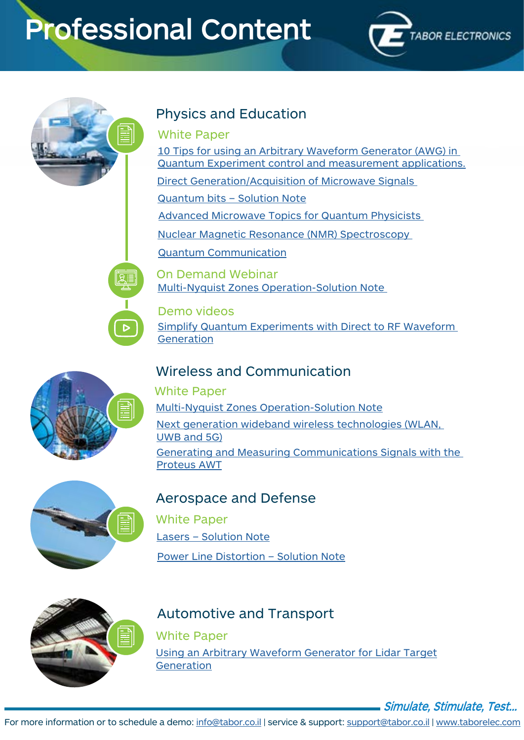# **Professional Content**





### Physics and Education

#### **White Paper**

Direct Generation/Acquisition of Microwave Signals 10 Tips for using an Arbitrary Waveform Generator (AWG) in Quantum Experiment control and measurement applications.

Quantum bits – Solution Note

**Advanced Microwave Topics for Quantum Physicists** 

Nuclear Magnetic Resonance (NMR) Spectroscopy

[Communication Quantum](https://www.taborelec.com/quantum-bits-solution-note?utm_source=Website&utm_medium=Email&utm_campaign=Quantum%20bits%20%E2%80%93%20Solution%20Note&utm_term=awg,%20protues,%20tabor,%20quantum%20physics%20commputing&utm_content=Quantum%20bits%20%E2%80%93%20Solution%20Note)

**On Demand Webinar** Multi-Nyquist Zones Operation-Solution Note

#### Demo videos

Simplify Quantum Experiments with Direct to RF Waveform [Generation](http://Simplify Quantum Experiments with Direct to RF Waveform Generation)

# Wireless and Communication

#### **White Paper** Multi-Nyquist Zones Operation-Solution Note Next generation wideband wireless technologies (WLAN, UWB and 5G)

Generating and Measuring Communications Signals with the **Proteus AWT** 

# Aerospace and Defense

Lasers – Solution Note **White Paper** 

Power Line Distortion – Solution Note



# Automotive and Transport

Using an Arbitrary Waveform Generator for Lidar Target [Generation](https://www.taborelec.com/awg_lidar) **White Paper** 



Formore information or to schedule a demo:  $info@tabor.co.l$  $info@tabor.co.l$  $info@tabor.co.l$  service & support: support@tabor.co.il | www.taborelec.com

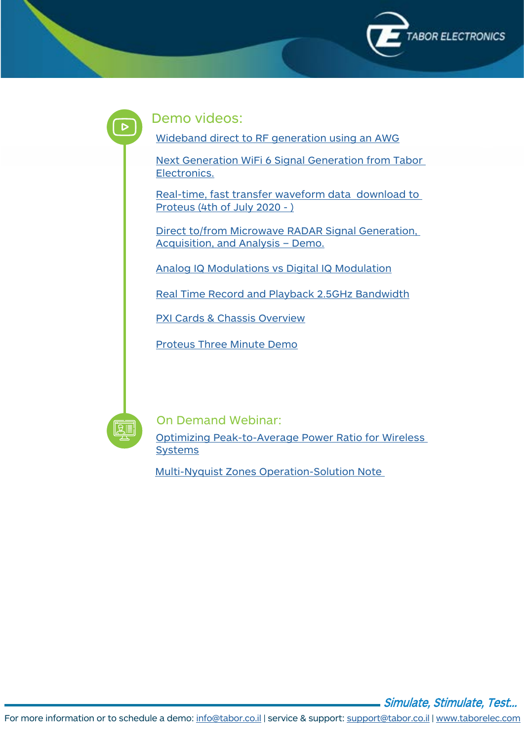



#### Demo videos:

Wideband direct to RF generation using an AWG

Next Generation WiFi 6 Signal Generation from Tabor [.Electronics](https://youtu.be/Y89lJjvo4wQ)

Real-time, fast transfer waveform data download to Proteus (4th of July 2020 - )

Direct to/from Microwave RADAR Signal Generation, Acquisition, and Analysis – Demo.

Analog IQ Modulations vs Digital IQ Modulation

Real Time Record and Playback 2.5 GHz Bandwidth

**PXI Cards & Chassis Overview** 

Proteus Three Minute Demo



Optimizing Peak-to-Average Power Ratio for Wireless **[Systems](https://youtu.be/NrzfALBX8C8)** On Demand Webinar:

Multi-Nyquist Zones Operation-Solution Note